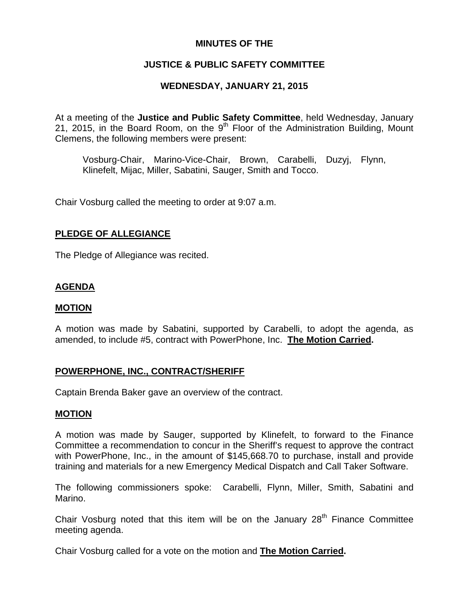## **MINUTES OF THE**

## **JUSTICE & PUBLIC SAFETY COMMITTEE**

## **WEDNESDAY, JANUARY 21, 2015**

At a meeting of the **Justice and Public Safety Committee**, held Wednesday, January 21, 2015, in the Board Room, on the  $9<sup>th</sup>$  Floor of the Administration Building, Mount Clemens, the following members were present:

Vosburg-Chair, Marino-Vice-Chair, Brown, Carabelli, Duzyj, Flynn, Klinefelt, Mijac, Miller, Sabatini, Sauger, Smith and Tocco.

Chair Vosburg called the meeting to order at 9:07 a.m.

## **PLEDGE OF ALLEGIANCE**

The Pledge of Allegiance was recited.

# **AGENDA**

#### **MOTION**

A motion was made by Sabatini, supported by Carabelli, to adopt the agenda, as amended, to include #5, contract with PowerPhone, Inc. **The Motion Carried.** 

## **POWERPHONE, INC., CONTRACT/SHERIFF**

Captain Brenda Baker gave an overview of the contract.

#### **MOTION**

A motion was made by Sauger, supported by Klinefelt, to forward to the Finance Committee a recommendation to concur in the Sheriff's request to approve the contract with PowerPhone, Inc., in the amount of \$145,668.70 to purchase, install and provide training and materials for a new Emergency Medical Dispatch and Call Taker Software.

The following commissioners spoke: Carabelli, Flynn, Miller, Smith, Sabatini and Marino.

Chair Vosburg noted that this item will be on the January 28<sup>th</sup> Finance Committee meeting agenda.

Chair Vosburg called for a vote on the motion and **The Motion Carried.**